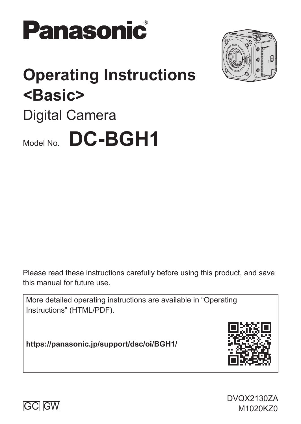



# **Operating Instructions <Basic>** Digital Camera Model No. **DC-BGH1**

Please read these instructions carefully before using this product, and save this manual for future use.

More detailed operating instructions are available in "Operating Instructions" (HTML/PDF).

**https://panasonic.jp/support/dsc/oi/BGH1/**



DVQX2130ZA

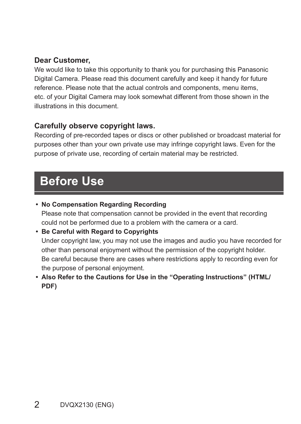#### **Dear Customer,**

We would like to take this opportunity to thank you for purchasing this Panasonic Digital Camera. Please read this document carefully and keep it handy for future reference. Please note that the actual controls and components, menu items, etc. of your Digital Camera may look somewhat different from those shown in the illustrations in this document.

#### **Carefully observe copyright laws.**

Recording of pre-recorded tapes or discs or other published or broadcast material for purposes other than your own private use may infringe copyright laws. Even for the purpose of private use, recording of certain material may be restricted.

## **Before Use**

**• No Compensation Regarding Recording**

Please note that compensation cannot be provided in the event that recording could not be performed due to a problem with the camera or a card.

- **Be Careful with Regard to Copyrights** Under copyright law, you may not use the images and audio you have recorded for other than personal enjoyment without the permission of the copyright holder. Be careful because there are cases where restrictions apply to recording even for the purpose of personal enjoyment.
- **Also Refer to the Cautions for Use in the "Operating Instructions" (HTML/ PDF)**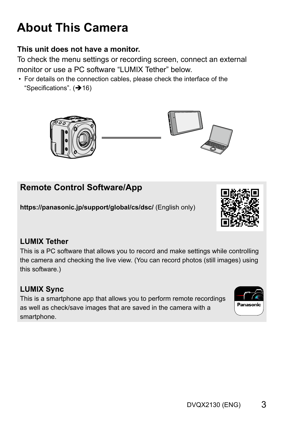## **About This Camera**

#### **This unit does not have a monitor.**

To check the menu settings or recording screen, connect an external monitor or use a PC software "LUMIX Tether" below

• For details on the connection cables, please check the interface of the "Specifications".  $(416)$ 



### **Remote Control Software/App**

**https://panasonic.jp/support/global/cs/dsc/** (English only)

#### **LUMIX Tether**

This is a PC software that allows you to record and make settings while controlling the camera and checking the live view. (You can record photos (still images) using this software.)

## **LUMIX Sync**

This is a smartphone app that allows you to perform remote recordings as well as check/save images that are saved in the camera with a smartphone.



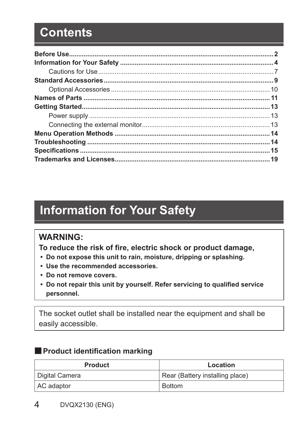## **Contents**

## **Information for Your Safety**

### **WARNING:**

**To reduce the risk of fire, electric shock or product damage,**

- **Do not expose this unit to rain, moisture, dripping or splashing.**
- **Use the recommended accessories.**
- **Do not remove covers.**
- **Do not repair this unit by yourself. Refer servicing to qualified service personnel.**

The socket outlet shall be installed near the equipment and shall be easily accessible.

#### ■**Product identification marking**

| Product        | Location                        |
|----------------|---------------------------------|
| Digital Camera | Rear (Battery installing place) |
| AC adaptor     | <b>Bottom</b>                   |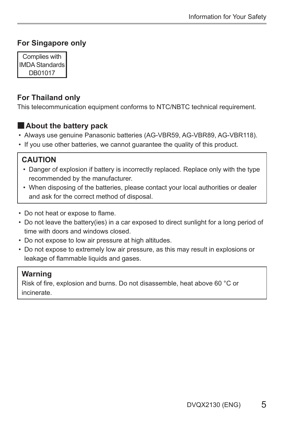#### **For Singapore only**

Complies with IMDA Standards DB01017

#### **For Thailand only**

This telecommunication equipment conforms to NTC/NBTC technical requirement.

#### ■**About the battery pack**

- Always use genuine Panasonic batteries (AG-VBR59, AG-VBR89, AG-VBR118).
- If you use other batteries, we cannot guarantee the quality of this product.

#### **CAUTION**

- Danger of explosion if battery is incorrectly replaced. Replace only with the type recommended by the manufacturer.
- When disposing of the batteries, please contact your local authorities or dealer and ask for the correct method of disposal.
- Do not heat or expose to flame.
- Do not leave the battery(ies) in a car exposed to direct sunlight for a long period of time with doors and windows closed.
- Do not expose to low air pressure at high altitudes.
- Do not expose to extremely low air pressure, as this may result in explosions or leakage of flammable liquids and gases.

#### **Warning**

Risk of fire, explosion and burns. Do not disassemble, heat above 60 °C or incinerate.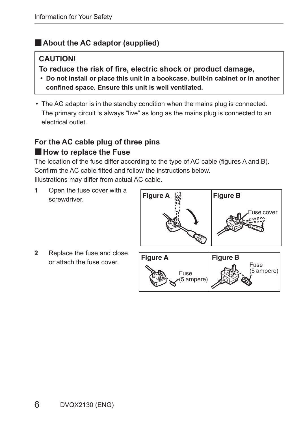#### ■**About the AC adaptor (supplied)**

#### **CAUTION!**

**To reduce the risk of fire, electric shock or product damage,**

- **Do not install or place this unit in a bookcase, built-in cabinet or in another confined space. Ensure this unit is well ventilated.**
- The AC adaptor is in the standby condition when the mains plug is connected. The primary circuit is always "live" as long as the mains plug is connected to an electrical outlet.

#### **For the AC cable plug of three pins** ■**How to replace the Fuse**

The location of the fuse differ according to the type of AC cable (figures A and B). Confirm the AC cable fitted and follow the instructions below.

Illustrations may differ from actual AC cable.

**1** Open the fuse cover with a screwdriver.



**2** Replace the fuse and close

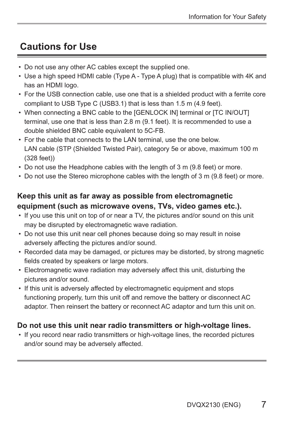### **Cautions for Use**

- Do not use any other AC cables except the supplied one.
- Use a high speed HDMI cable (Type A Type A plug) that is compatible with 4K and has an HDMI logo.
- For the USB connection cable, use one that is a shielded product with a ferrite core compliant to USB Type C (USB3.1) that is less than 1.5 m (4.9 feet).
- When connecting a BNC cable to the [GENLOCK IN] terminal or [TC IN/OUT] terminal, use one that is less than 2.8 m (9.1 feet). It is recommended to use a double shielded BNC cable equivalent to 5C-FB.
- For the cable that connects to the LAN terminal, use the one below. LAN cable (STP (Shielded Twisted Pair), category 5e or above, maximum 100 m (328 feet))
- Do not use the Headphone cables with the length of 3 m (9.8 feet) or more.
- Do not use the Stereo microphone cables with the length of 3 m (9.8 feet) or more.

#### **Keep this unit as far away as possible from electromagnetic equipment (such as microwave ovens, TVs, video games etc.).**

- If you use this unit on top of or near a TV, the pictures and/or sound on this unit may be disrupted by electromagnetic wave radiation.
- Do not use this unit near cell phones because doing so may result in noise adversely affecting the pictures and/or sound.
- Recorded data may be damaged, or pictures may be distorted, by strong magnetic fields created by speakers or large motors.
- Electromagnetic wave radiation may adversely affect this unit, disturbing the pictures and/or sound.
- If this unit is adversely affected by electromagnetic equipment and stops functioning properly, turn this unit off and remove the battery or disconnect AC adaptor. Then reinsert the battery or reconnect AC adaptor and turn this unit on.

#### **Do not use this unit near radio transmitters or high-voltage lines.**

• If you record near radio transmitters or high-voltage lines, the recorded pictures and/or sound may be adversely affected.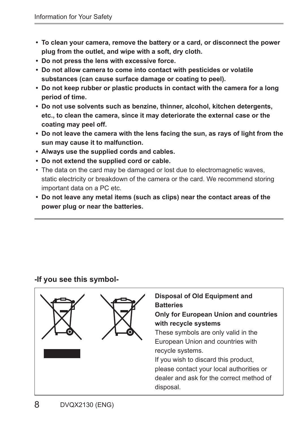- **To clean your camera, remove the battery or a card, or disconnect the power plug from the outlet, and wipe with a soft, dry cloth.**
- **Do not press the lens with excessive force.**
- **Do not allow camera to come into contact with pesticides or volatile substances (can cause surface damage or coating to peel).**
- **Do not keep rubber or plastic products in contact with the camera for a long period of time.**
- **Do not use solvents such as benzine, thinner, alcohol, kitchen detergents, etc., to clean the camera, since it may deteriorate the external case or the coating may peel off.**
- **Do not leave the camera with the lens facing the sun, as rays of light from the sun may cause it to malfunction.**
- **Always use the supplied cords and cables.**
- **Do not extend the supplied cord or cable.**
- The data on the card may be damaged or lost due to electromagnetic waves, static electricity or breakdown of the camera or the card. We recommend storing important data on a PC etc.
- **Do not leave any metal items (such as clips) near the contact areas of the power plug or near the batteries.**

#### **-If you see this symbol-**

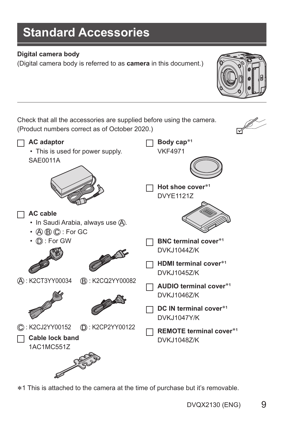## **Standard Accessories**

#### **Digital camera body**

(Digital camera body is referred to as **camera** in this document.)

Check that all the accessories are supplied before using the camera. (Product numbers correct as of October 2020.)



1 This is attached to the camera at the time of purchase but it's removable.

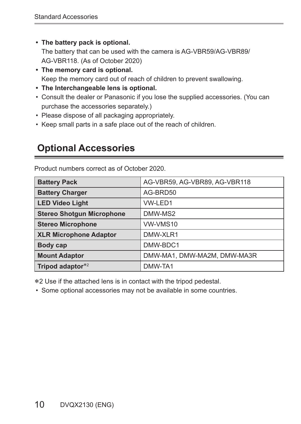**• The battery pack is optional.**

The battery that can be used with the camera is AG-VBR59/AG-VBR89/ AG-VBR118. (As of October 2020)

- **The memory card is optional.** Keep the memory card out of reach of children to prevent swallowing.
- **The Interchangeable lens is optional.**
- Consult the dealer or Panasonic if you lose the supplied accessories. (You can purchase the accessories separately.)
- Please dispose of all packaging appropriately.
- Keep small parts in a safe place out of the reach of children.

### **Optional Accessories**

| <b>Battery Pack</b>              | AG-VBR59, AG-VBR89, AG-VBR118 |
|----------------------------------|-------------------------------|
| <b>Battery Charger</b>           | AG-BRD50                      |
| <b>LED Video Light</b>           | VW-LED1                       |
| <b>Stereo Shotgun Microphone</b> | DMW-MS2                       |
| <b>Stereo Microphone</b>         | VW-VMS10                      |
| <b>XLR Microphone Adaptor</b>    | DMW-XLR1                      |
| Body cap                         | DMW-BDC1                      |
| <b>Mount Adaptor</b>             | DMW-MA1, DMW-MA2M, DMW-MA3R   |
| Tripod adaptor*2                 | DMW-TA1                       |

Product numbers correct as of October 2020.

2 Use if the attached lens is in contact with the tripod pedestal.

• Some optional accessories may not be available in some countries.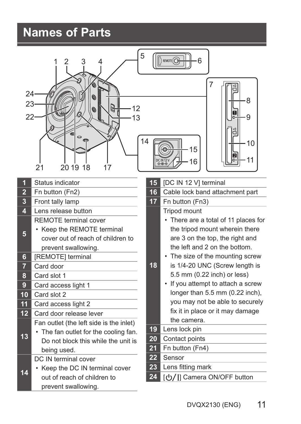## **Names of Parts**

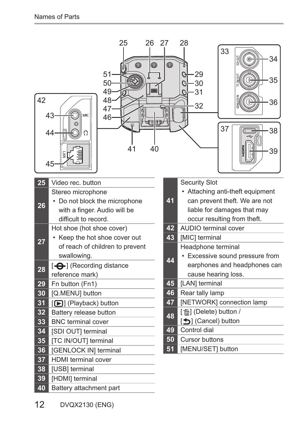| 42              | 25<br>26<br>a<br>51<br>50<br>49<br>╗<br>48<br>47<br>9<br>43<br>MIC<br>46<br>细冊<br>44<br>40<br>41<br>45 | 27<br>Q | 28<br>33<br>34<br>iligi<br>⊛<br>29<br>G<br>35<br>30<br>C<br>31<br>G<br>36<br>32<br>J)<br>37<br>38<br>39 |
|-----------------|--------------------------------------------------------------------------------------------------------|---------|---------------------------------------------------------------------------------------------------------|
| 25              | Video rec. button                                                                                      |         | <b>Security Slot</b>                                                                                    |
|                 | Stereo microphone<br>• Do not block the microphone                                                     | 41      | • Attaching anti-theft equipment<br>can prevent theft. We are not                                       |
| 26              | with a finger. Audio will be                                                                           |         | liable for damages that may                                                                             |
|                 | difficult to record.                                                                                   |         | occur resulting from theft.                                                                             |
|                 | Hot shoe (hot shoe cover)                                                                              | 42      | <b>AUDIO</b> terminal cover                                                                             |
| 27              | • Keep the hot shoe cover out                                                                          | 43      | [MIC] terminal                                                                                          |
|                 | of reach of children to prevent                                                                        |         | Headphone terminal                                                                                      |
|                 | swallowing.                                                                                            | 44      | • Excessive sound pressure from                                                                         |
| 28              | [- <b>O</b> -] (Recording distance                                                                     |         | earphones and headphones can                                                                            |
| 29              | reference mark)<br>Fn button (Fn1)                                                                     | 45      | cause hearing loss.<br>[LAN] terminal                                                                   |
| 30              | [Q.MENU] button                                                                                        | 46      | Rear tally lamp                                                                                         |
| $\overline{3}1$ | [D] (Playback) button                                                                                  | 47      | [NETWORK] connection lamp                                                                               |
| 32              | Battery release button                                                                                 | 48      | [而] (Delete) button /                                                                                   |
| 33              | <b>BNC</b> terminal cover                                                                              |         | [←] (Cancel) button                                                                                     |
| $\overline{34}$ | [SDI OUT] terminal                                                                                     |         | Control dial                                                                                            |
| 35              | <b>TC IN/OUT terminal</b>                                                                              |         | Cursor buttons                                                                                          |
| 36              | [GENLOCK IN] terminal                                                                                  | 51      | [MENU/SET] button                                                                                       |
| 37              | <b>HDMI</b> terminal cover                                                                             |         |                                                                                                         |
| 38              | [USB] terminal                                                                                         |         |                                                                                                         |
| 39              | [HDMI] terminal                                                                                        |         |                                                                                                         |
| 40              | Battery attachment part                                                                                |         |                                                                                                         |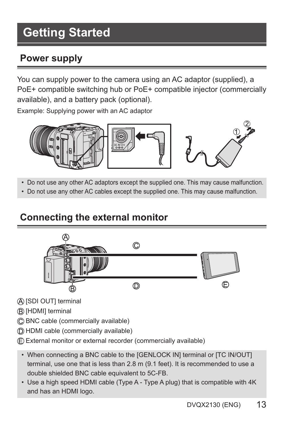## **Getting Started**

### **Power supply**

You can supply power to the camera using an AC adaptor (supplied), a PoE+ compatible switching hub or PoE+ compatible injector (commercially available), and a battery pack (optional).

Example: Supplying power with an AC adaptor



• Do not use any other AC adaptors except the supplied one. This may cause malfunction.

• Do not use any other AC cables except the supplied one. This may cause malfunction.

### **Connecting the external monitor**



- [SDI OUT] terminal
- [HDMI] terminal
- BNC cable (commercially available)
- HDMI cable (commercially available)
- External monitor or external recorder (commercially available)
- When connecting a BNC cable to the [GENLOCK IN] terminal or [TC IN/OUT] terminal, use one that is less than 2.8 m (9.1 feet). It is recommended to use a double shielded BNC cable equivalent to 5C-FB.
- Use a high speed HDMI cable (Type A Type A plug) that is compatible with 4K and has an HDMI logo.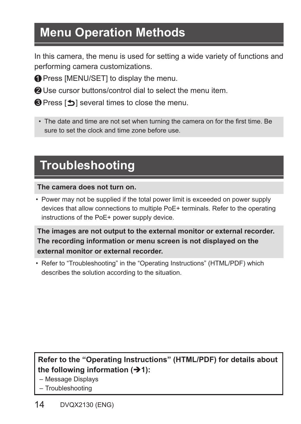## **Menu Operation Methods**

In this camera, the menu is used for setting a wide variety of functions and performing camera customizations.

**O** Press [MENU/SET] to display the menu.

Use cursor buttons/control dial to select the menu item.

 $\bigcirc$  Press  $\bigcirc$  is several times to close the menu.

• The date and time are not set when turning the camera on for the first time. Be sure to set the clock and time zone before use.

## **Troubleshooting**

#### **The camera does not turn on.**

• Power may not be supplied if the total power limit is exceeded on power supply devices that allow connections to multiple PoE+ terminals. Refer to the operating instructions of the PoE+ power supply device.

**The images are not output to the external monitor or external recorder. The recording information or menu screen is not displayed on the external monitor or external recorder.**

• Refer to "Troubleshooting" in the "Operating Instructions" (HTML/PDF) which describes the solution according to the situation.

### **Refer to the "Operating Instructions" (HTML/PDF) for details about the following information (1):**

– Message Displays

– Troubleshooting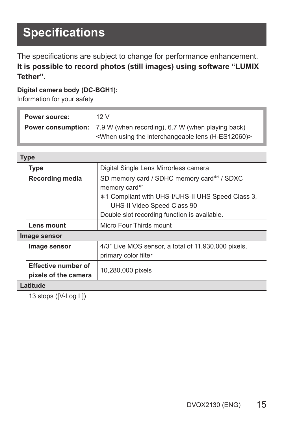The specifications are subject to change for performance enhancement. **It is possible to record photos (still images) using software "LUMIX Tether".**

#### **Digital camera body (DC-BGH1):**

Information for your safety

| Power source: | $12 V = 1$                                                                                                                                             |
|---------------|--------------------------------------------------------------------------------------------------------------------------------------------------------|
|               | <b>Power consumption:</b> 7.9 W (when recording), 6.7 W (when playing back)<br><when (h-es12060)="" interchangeable="" lens="" the="" using=""></when> |

**Type**

|              | . .                                                |                                                                                                                                                                                                 |
|--------------|----------------------------------------------------|-------------------------------------------------------------------------------------------------------------------------------------------------------------------------------------------------|
|              | Type                                               | Digital Single Lens Mirrorless camera                                                                                                                                                           |
|              | <b>Recording media</b>                             | SD memory card / SDHC memory card*1 / SDXC<br>memory card*1<br>*1 Compliant with UHS-I/UHS-II UHS Speed Class 3,<br>UHS-II Video Speed Class 90<br>Double slot recording function is available. |
|              | Lens mount                                         | Micro Four Thirds mount                                                                                                                                                                         |
| Image sensor |                                                    |                                                                                                                                                                                                 |
|              | Image sensor                                       | 4/3" Live MOS sensor, a total of 11,930,000 pixels,<br>primary color filter                                                                                                                     |
|              | <b>Effective number of</b><br>pixels of the camera | 10,280,000 pixels                                                                                                                                                                               |
|              | Latitude                                           |                                                                                                                                                                                                 |
|              | 13 stops ([V-Log L])                               |                                                                                                                                                                                                 |
|              |                                                    |                                                                                                                                                                                                 |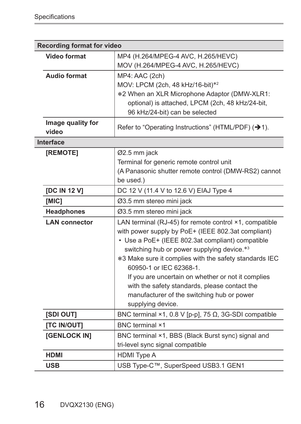|                            | Recording format for video                                                                                                                                                                                                                                                                                                                                                                                                                                                    |  |  |
|----------------------------|-------------------------------------------------------------------------------------------------------------------------------------------------------------------------------------------------------------------------------------------------------------------------------------------------------------------------------------------------------------------------------------------------------------------------------------------------------------------------------|--|--|
| Video format               | MP4 (H.264/MPEG-4 AVC, H.265/HEVC)<br>MOV (H.264/MPEG-4 AVC, H.265/HEVC)                                                                                                                                                                                                                                                                                                                                                                                                      |  |  |
| Audio format               | MP4: AAC (2ch)<br>MOV: LPCM (2ch, 48 kHz/16-bit)*2<br>*2 When an XLR Microphone Adaptor (DMW-XLR1:<br>optional) is attached, LPCM (2ch, 48 kHz/24-bit,<br>96 kHz/24-bit) can be selected                                                                                                                                                                                                                                                                                      |  |  |
| Image quality for<br>video | Refer to "Operating Instructions" (HTML/PDF) (→1).                                                                                                                                                                                                                                                                                                                                                                                                                            |  |  |
| Interface                  |                                                                                                                                                                                                                                                                                                                                                                                                                                                                               |  |  |
| [REMOTE]                   | Ø2.5 mm jack<br>Terminal for generic remote control unit<br>(A Panasonic shutter remote control (DMW-RS2) cannot<br>be used.)                                                                                                                                                                                                                                                                                                                                                 |  |  |
| <b>[DC IN 12 V]</b>        | DC 12 V (11.4 V to 12.6 V) EIAJ Type 4                                                                                                                                                                                                                                                                                                                                                                                                                                        |  |  |
| [MIC]                      | Ø3.5 mm stereo mini jack                                                                                                                                                                                                                                                                                                                                                                                                                                                      |  |  |
| Headphones                 | Ø3.5 mm stereo mini jack                                                                                                                                                                                                                                                                                                                                                                                                                                                      |  |  |
| <b>LAN</b> connector       | LAN terminal (RJ-45) for remote control ×1, compatible<br>with power supply by PoE+ (IEEE 802.3at compliant)<br>• Use a PoE+ (IEEE 802.3at compliant) compatible<br>switching hub or power supplying device.*3<br>*3 Make sure it complies with the safety standards IEC<br>60950-1 or IEC 62368-1.<br>If you are uncertain on whether or not it complies<br>with the safety standards, please contact the<br>manufacturer of the switching hub or power<br>supplying device. |  |  |
| <b>ISDI OUTI</b>           | BNC terminal ×1, 0.8 V [p-p], 75 Ω, 3G-SDI compatible                                                                                                                                                                                                                                                                                                                                                                                                                         |  |  |
| [TC IN/OUT]                | <b>BNC</b> terminal ×1                                                                                                                                                                                                                                                                                                                                                                                                                                                        |  |  |
| [GENLOCK IN]               | BNC terminal ×1, BBS (Black Burst sync) signal and<br>tri-level sync signal compatible                                                                                                                                                                                                                                                                                                                                                                                        |  |  |
| <b>HDMI</b>                | <b>HDMI</b> Type A                                                                                                                                                                                                                                                                                                                                                                                                                                                            |  |  |
| <b>USB</b>                 | USB Type-C™, SuperSpeed USB3.1 GEN1                                                                                                                                                                                                                                                                                                                                                                                                                                           |  |  |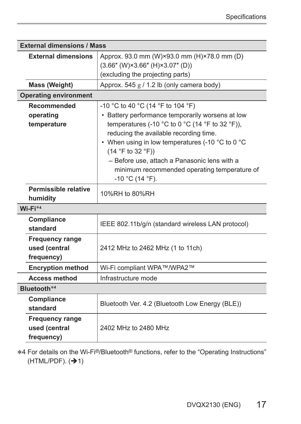| <b>External dimensions / Mass</b>                     |                                                                                                                                                                                                                                                                                                             |  |
|-------------------------------------------------------|-------------------------------------------------------------------------------------------------------------------------------------------------------------------------------------------------------------------------------------------------------------------------------------------------------------|--|
| <b>External dimensions</b>                            | Approx. 93.0 mm (W)×93.0 mm (H)×78.0 mm (D)<br>$(3.66''$ (W) $\times 3.66''$ (H) $\times 3.07''$ (D))<br>(excluding the projecting parts)                                                                                                                                                                   |  |
| Mass (Weight)                                         | Approx. 545 g / 1.2 lb (only camera body)                                                                                                                                                                                                                                                                   |  |
| <b>Operating environment</b>                          |                                                                                                                                                                                                                                                                                                             |  |
| Recommended<br>operating<br>temperature               | -10 °C to 40 °C (14 °F to 104 °F)<br>• Battery performance temporarily worsens at low<br>temperatures (-10 °C to 0 °C (14 °F to 32 °F)),<br>reducing the available recording time.<br>• When using in low temperatures (-10 °C to 0 °C<br>(14 °F to 32 °F))<br>- Before use, attach a Panasonic lens with a |  |
|                                                       | minimum recommended operating temperature of<br>$-10$ °C (14 °F).                                                                                                                                                                                                                                           |  |
| Permissible relative<br>humidity                      | 10%RH to 80%RH                                                                                                                                                                                                                                                                                              |  |
| $Wi-Fi*4$                                             |                                                                                                                                                                                                                                                                                                             |  |
| Compliance<br>standard                                | IEEE 802.11b/g/n (standard wireless LAN protocol)                                                                                                                                                                                                                                                           |  |
| Frequency range<br>used (central<br>frequency)        | 2412 MHz to 2462 MHz (1 to 11ch)                                                                                                                                                                                                                                                                            |  |
| <b>Encryption method</b>                              | Wi-Fi compliant WPA™/WPA2™                                                                                                                                                                                                                                                                                  |  |
| <b>Access method</b>                                  | Infrastructure mode                                                                                                                                                                                                                                                                                         |  |
| Bluetooth*4                                           |                                                                                                                                                                                                                                                                                                             |  |
| Compliance<br>standard                                | Bluetooth Ver. 4.2 (Bluetooth Low Energy (BLE))                                                                                                                                                                                                                                                             |  |
| <b>Frequency range</b><br>used (central<br>frequency) | 2402 MHz to 2480 MHz                                                                                                                                                                                                                                                                                        |  |

4 For details on the Wi-Fi®/Bluetooth® functions, refer to the "Operating Instructions"  $(HTML/PDF).$   $(→ 1)$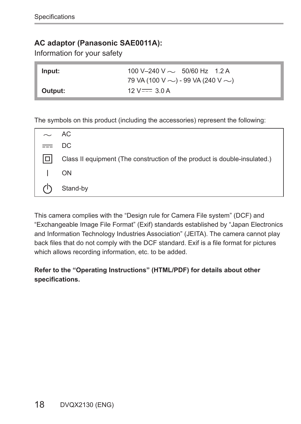#### **AC adaptor (Panasonic SAE0011A):**

Information for your safety

| Input:  | 100 V-240 V $\sim$ 50/60 Hz 1.2 A             |
|---------|-----------------------------------------------|
|         | 79 VA (100 V $\sim$ ) - 99 VA (240 V $\sim$ ) |
| Output: | $12 \text{ V} = 3.0 \text{ A}$                |

The symbols on this product (including the accessories) represent the following:

| $\sim$ AC |                                                                           |
|-----------|---------------------------------------------------------------------------|
| $=$ DC    |                                                                           |
|           | Class II equipment (The construction of the product is double-insulated.) |
|           | ON                                                                        |
|           | Stand-by                                                                  |

This camera complies with the "Design rule for Camera File system" (DCF) and "Exchangeable Image File Format" (Exif) standards established by "Japan Electronics and Information Technology Industries Association" (JEITA). The camera cannot play back files that do not comply with the DCF standard. Exif is a file format for pictures which allows recording information, etc. to be added.

#### **Refer to the "Operating Instructions" (HTML/PDF) for details about other specifications.**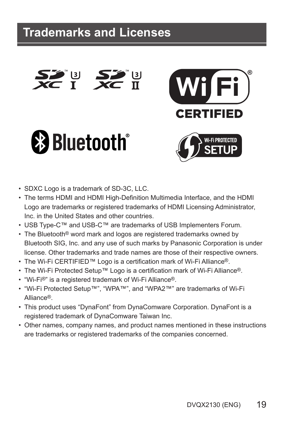SU SA<br>Et Xo







- SDXC Logo is a trademark of SD-3C, LLC.
- The terms HDMI and HDMI High-Definition Multimedia Interface, and the HDMI Logo are trademarks or registered trademarks of HDMI Licensing Administrator, Inc. in the United States and other countries.
- USB Type-C™ and USB-C™ are trademarks of USB Implementers Forum.
- The Bluetooth® word mark and logos are registered trademarks owned by Bluetooth SIG, Inc. and any use of such marks by Panasonic Corporation is under license. Other trademarks and trade names are those of their respective owners.
- The Wi-Fi CERTIFIED™ Logo is a certification mark of Wi-Fi Alliance®.
- The Wi-Fi Protected Setup™ Logo is a certification mark of Wi-Fi Alliance®.
- "Wi-Fi®" is a registered trademark of Wi-Fi Alliance®.
- "Wi-Fi Protected Setup™", "WPA™", and "WPA2™" are trademarks of Wi-Fi Alliance®.
- This product uses "DynaFont" from DynaComware Corporation. DynaFont is a registered trademark of DynaComware Taiwan Inc.
- Other names, company names, and product names mentioned in these instructions are trademarks or registered trademarks of the companies concerned.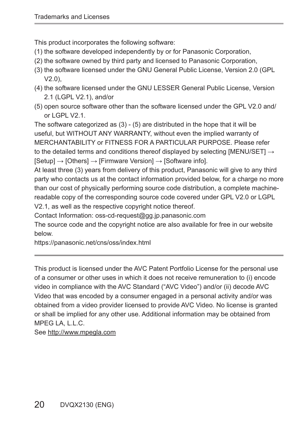This product incorporates the following software:

- (1) the software developed independently by or for Panasonic Corporation,
- (2) the software owned by third party and licensed to Panasonic Corporation,
- (3) the software licensed under the GNU General Public License, Version 2.0 (GPL  $V2.0$ ).
- (4) the software licensed under the GNU LESSER General Public License, Version 2.1 (LGPL V2.1), and/or
- (5) open source software other than the software licensed under the GPL V2.0 and/ or  $L$  GPL  $V2.1$ .

The software categorized as (3) - (5) are distributed in the hope that it will be useful, but WITHOUT ANY WARRANTY, without even the implied warranty of MERCHANTABILITY or FITNESS FOR A PARTICULAR PURPOSE. Please refer to the detailed terms and conditions thereof displayed by selecting [MENU/SET]  $\rightarrow$ [Setup] → [Others] → [Firmware Version] → [Software info].

At least three (3) years from delivery of this product, Panasonic will give to any third party who contacts us at the contact information provided below, for a charge no more than our cost of physically performing source code distribution, a complete machinereadable copy of the corresponding source code covered under GPL V2.0 or LGPL V2.1, as well as the respective copyright notice thereof.

Contact Information: oss-cd-request@gg.jp.panasonic.com

The source code and the copyright notice are also available for free in our website below.

https://panasonic.net/cns/oss/index.html

This product is licensed under the AVC Patent Portfolio License for the personal use of a consumer or other uses in which it does not receive remuneration to (i) encode video in compliance with the AVC Standard ("AVC Video") and/or (ii) decode AVC Video that was encoded by a consumer engaged in a personal activity and/or was obtained from a video provider licensed to provide AVC Video. No license is granted or shall be implied for any other use. Additional information may be obtained from MPEG LA, L.L.C.

See http://www.mpegla.com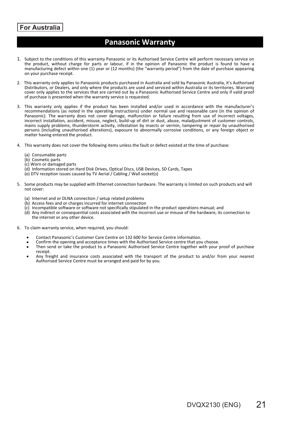#### **For Australia**

#### **Panasonic Warranty**

- 1. Subject to the conditions of this warranty Panasonic or its Authorised Service Centre will perform necessary service on the product, without charge for parts or labour, if in the opinion of Panasonic the product is found to have a manufacturing defect within one (1) year or (12 months) (the "warranty period") from the date of purchase appearing on your purchase receipt.
- 2. This warranty only applies to Panasonic products purchased in Australia and sold by Panasonic Australia, it's Authorised<br>Distributors, or Dealers, and only where the products are used and serviced within Australia or it cover only applies to the services that are carried out by a Panasonic Authorised Service Centre and only if valid proof of purchase is presented when the warranty service is requested.
- 3. This warranty only applies if the product has been installed and/or used in accordance with the manufacturer's recommendations (as noted in the operating instructions) under normal use and reasonable care (in the opinion of Panasonic). The warranty does not cover damage, malfunction or failure resulting from use of incorrect voltages, incorrect installation, accident, misuse, neglect, build-up of dirt or dust, abuse, maladjustment of customer controls, mains supply problems, thunderstorm activity, infestation by insects or vermin, tampering or repair by unauthorised persons (including unauthorised alterations), exposure to abnormally corrosive conditions, or any foreign object or matter having entered the product.
- 4. This warranty does not cover the following items unless the fault or defect existed at the time of purchase:
	- (a) Consumable parts
	- (b) Cosmetic parts
	- (c) Worn or damaged parts
	- (d) Information stored on Hard Disk Drives, Optical Discs, USB Devices, SD Cards, Tapes
	- (e) DTV reception issues caused by TV Aerial / Cabling / Wall socket(s)
- 5. Some products may be supplied with Ethernet connection hardware. The warranty is limited on such products and will not cover:
	- (a) Internet and or DLNA connection / setup related problems
	- (b) Access fees and or charges incurred for internet connection
	- (c) Incompatible software or software not specifically stipulated in the product operations manual; and
	- (d) Any indirect or consequential costs associated with the incorrect use or misuse of the hardware, its connection to the internet or any other device.
- 6. To claim warranty service, when required, you should:
	- Contact Panasonic's Customer Care Centre on 132 600 for Service Centre information.
	- Confirm the opening and acceptance times with the Authorised Service centre that you choose.
	- Then send or take the product to a Panasonic Authorised Service Centre together with your proof of purchase ٠ receipt.
	- Any freight and insurance costs associated with the transport of the product to and/or from your nearest Authorised Service Centre must be arranged and paid for by you.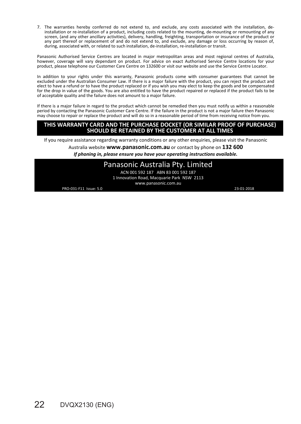7. The warranties hereby conferred do not extend to, and exclude, any costs associated with the installation, deinstallation or re-installation of a product, including costs related to the mounting, de-mounting or remounting of any screen, (and any other ancillary activities), delivery, handling, freighting, transportation or insurance of the product or any part thereof or replacement of and do not extend to, and exclude, any damage or loss occurring by reason of, during, associated with, or related to such installation, de-installation, re-installation or transit.

Panasonic Authorised Service Centres are located in major metropolitan areas and most regional centres of Australia, however, coverage will vary dependant on product. For advice on exact Authorised Service Centre locations for your product, please telephone our Customer Care Centre on 132600 or visit our website and use the Service Centre Locator.

In addition to your rights under this warranty, Panasonic products come with consumer guarantees that cannot be<br>excluded under the Australian Consumer Law. If there is a major failure with the product, you can reject the p elect to have a refund or to have the product replaced or if you wish you may elect to keep the goods and be compensated for the drop in value of the goods. You are also entitled to have the product repaired or replaced if the product fails to be of acceptable quality and the failure does not amount to a major failure.

If there is a major failure in regard to the product which cannot be remedied then you must notify us within a reasonable period by contacting the Panasonic Customer Care Centre. If the failure in the product is not a major failure then Panasonic may choose to repair or replace the product and will do so in a reasonable period of time from receiving notice from you.

### **THIS WARRANTY CARD AND THE PURCHASE DOCKET (OR SIMILAR PROOF OF PURCHASE) SHOULD BE RETAINED BY THE CUSTOMER AT ALL TIMES**

If you require assistance regarding warranty conditions or any other enquiries, please visit the Panasonic

Australia website **www.panasonic.com.au** or contact by phone on **132 600**

*If phoning in, please ensure you have your operating instructions available.*

#### Panasonic Australia Pty. Limited

ACN 001 592 187 ABN 83 001 592 187 1 Innovation Road, Macquarie Park NSW 2113 www.panasonic.com.au

PRO-031-F11 Issue: 5.0 23-01-2018